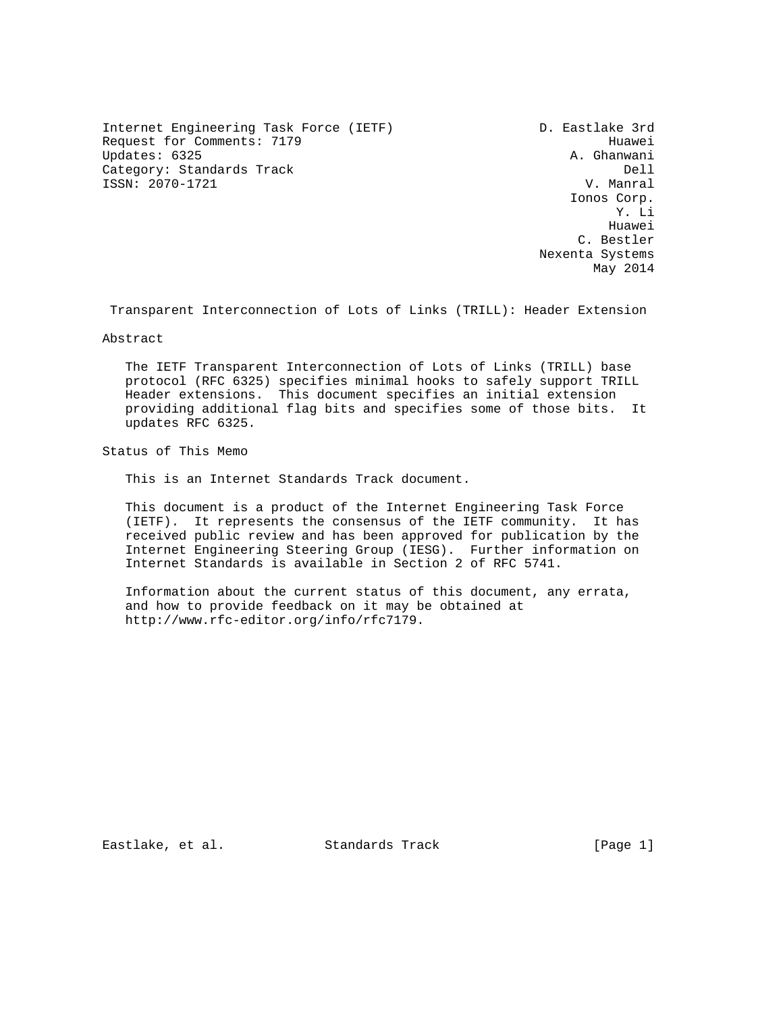Internet Engineering Task Force (IETF) D. Eastlake 3rd Request for Comments: 7179 Huawei Updates: 6325 A. Ghanwani Category: Standards Track Dell<br>
ISSN: 2070-1721 V. Manral  $ISSN: 2070-1721$ 

 Ionos Corp. Y. Li he distributed by the control of the control of the control of the control of the control of the control of the control of the control of the control of the control of the control of the control of the control of the contr C. Bestler Nexenta Systems May 2014

Transparent Interconnection of Lots of Links (TRILL): Header Extension

Abstract

 The IETF Transparent Interconnection of Lots of Links (TRILL) base protocol (RFC 6325) specifies minimal hooks to safely support TRILL Header extensions. This document specifies an initial extension providing additional flag bits and specifies some of those bits. It updates RFC 6325.

Status of This Memo

This is an Internet Standards Track document.

 This document is a product of the Internet Engineering Task Force (IETF). It represents the consensus of the IETF community. It has received public review and has been approved for publication by the Internet Engineering Steering Group (IESG). Further information on Internet Standards is available in Section 2 of RFC 5741.

 Information about the current status of this document, any errata, and how to provide feedback on it may be obtained at http://www.rfc-editor.org/info/rfc7179.

Eastlake, et al. Standards Track [Page 1]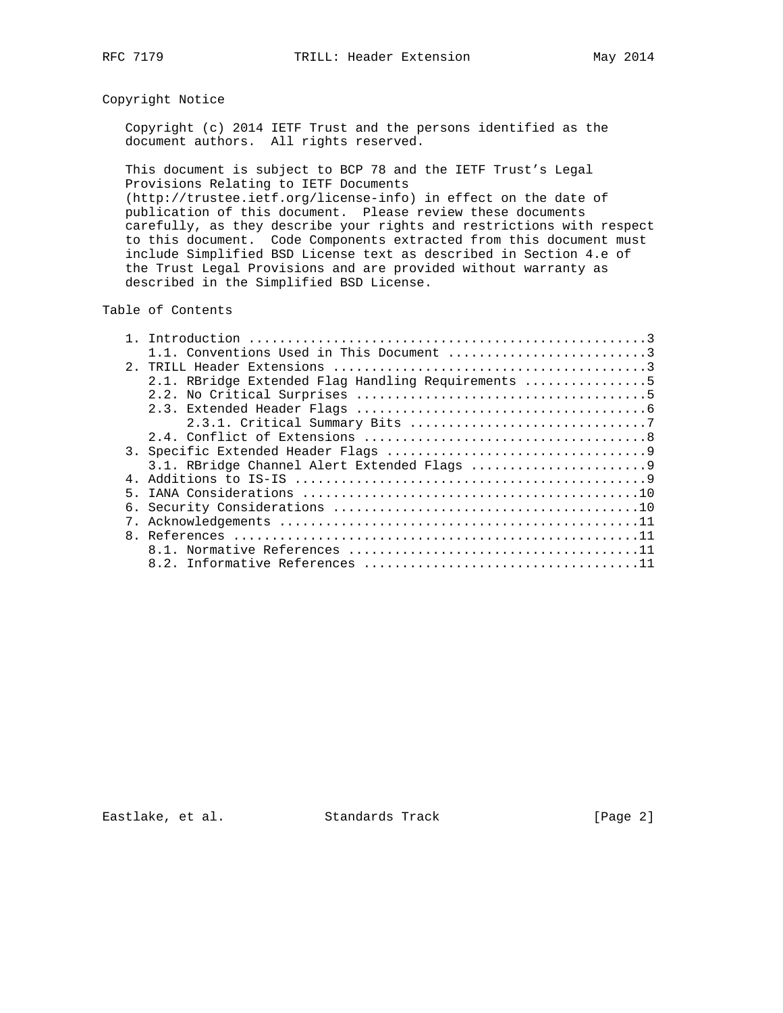# Copyright Notice

 Copyright (c) 2014 IETF Trust and the persons identified as the document authors. All rights reserved.

 This document is subject to BCP 78 and the IETF Trust's Legal Provisions Relating to IETF Documents (http://trustee.ietf.org/license-info) in effect on the date of publication of this document. Please review these documents

 carefully, as they describe your rights and restrictions with respect to this document. Code Components extracted from this document must include Simplified BSD License text as described in Section 4.e of the Trust Legal Provisions and are provided without warranty as described in the Simplified BSD License.

## Table of Contents

|    | 2.1. RBridge Extended Flag Handling Requirements 5 |
|----|----------------------------------------------------|
|    |                                                    |
|    |                                                    |
|    |                                                    |
|    |                                                    |
|    |                                                    |
|    | 3.1. RBridge Channel Alert Extended Flags 9        |
|    |                                                    |
| 5. |                                                    |
|    |                                                    |
|    |                                                    |
|    |                                                    |
|    |                                                    |
|    |                                                    |

Eastlake, et al. Standards Track [Page 2]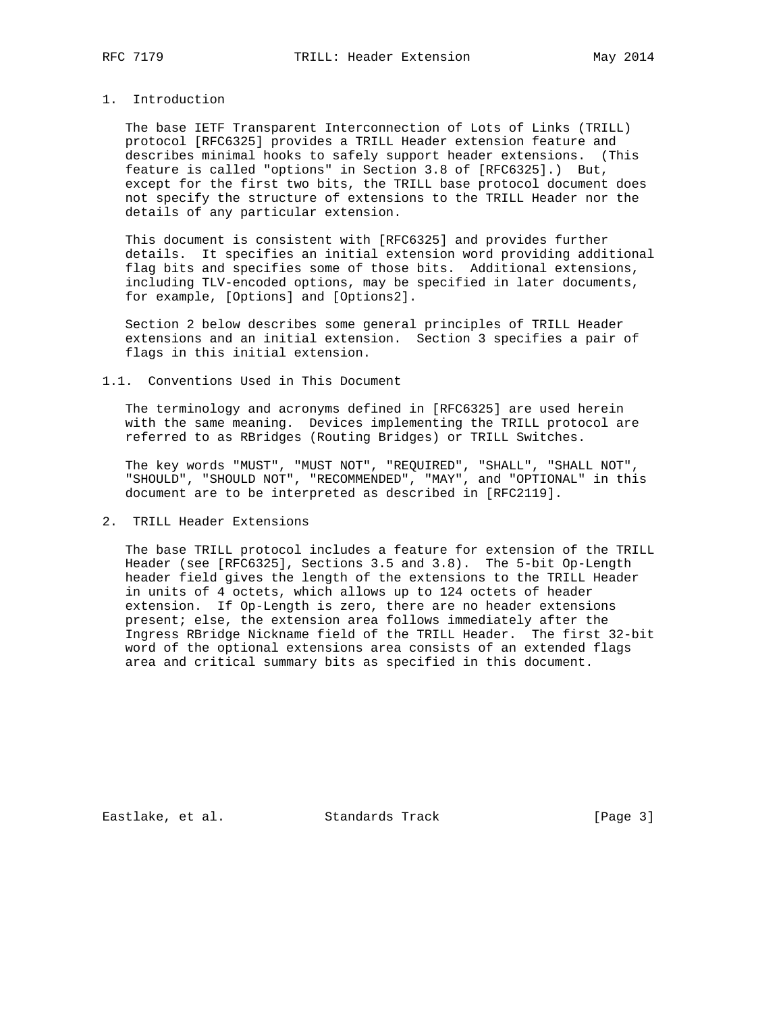## 1. Introduction

 The base IETF Transparent Interconnection of Lots of Links (TRILL) protocol [RFC6325] provides a TRILL Header extension feature and describes minimal hooks to safely support header extensions. (This feature is called "options" in Section 3.8 of [RFC6325].) But, except for the first two bits, the TRILL base protocol document does not specify the structure of extensions to the TRILL Header nor the details of any particular extension.

 This document is consistent with [RFC6325] and provides further details. It specifies an initial extension word providing additional flag bits and specifies some of those bits. Additional extensions, including TLV-encoded options, may be specified in later documents, for example, [Options] and [Options2].

 Section 2 below describes some general principles of TRILL Header extensions and an initial extension. Section 3 specifies a pair of flags in this initial extension.

#### 1.1. Conventions Used in This Document

 The terminology and acronyms defined in [RFC6325] are used herein with the same meaning. Devices implementing the TRILL protocol are referred to as RBridges (Routing Bridges) or TRILL Switches.

 The key words "MUST", "MUST NOT", "REQUIRED", "SHALL", "SHALL NOT", "SHOULD", "SHOULD NOT", "RECOMMENDED", "MAY", and "OPTIONAL" in this document are to be interpreted as described in [RFC2119].

## 2. TRILL Header Extensions

 The base TRILL protocol includes a feature for extension of the TRILL Header (see [RFC6325], Sections 3.5 and 3.8). The 5-bit Op-Length header field gives the length of the extensions to the TRILL Header in units of 4 octets, which allows up to 124 octets of header extension. If Op-Length is zero, there are no header extensions present; else, the extension area follows immediately after the Ingress RBridge Nickname field of the TRILL Header. The first 32-bit word of the optional extensions area consists of an extended flags area and critical summary bits as specified in this document.

Eastlake, et al. Standards Track [Page 3]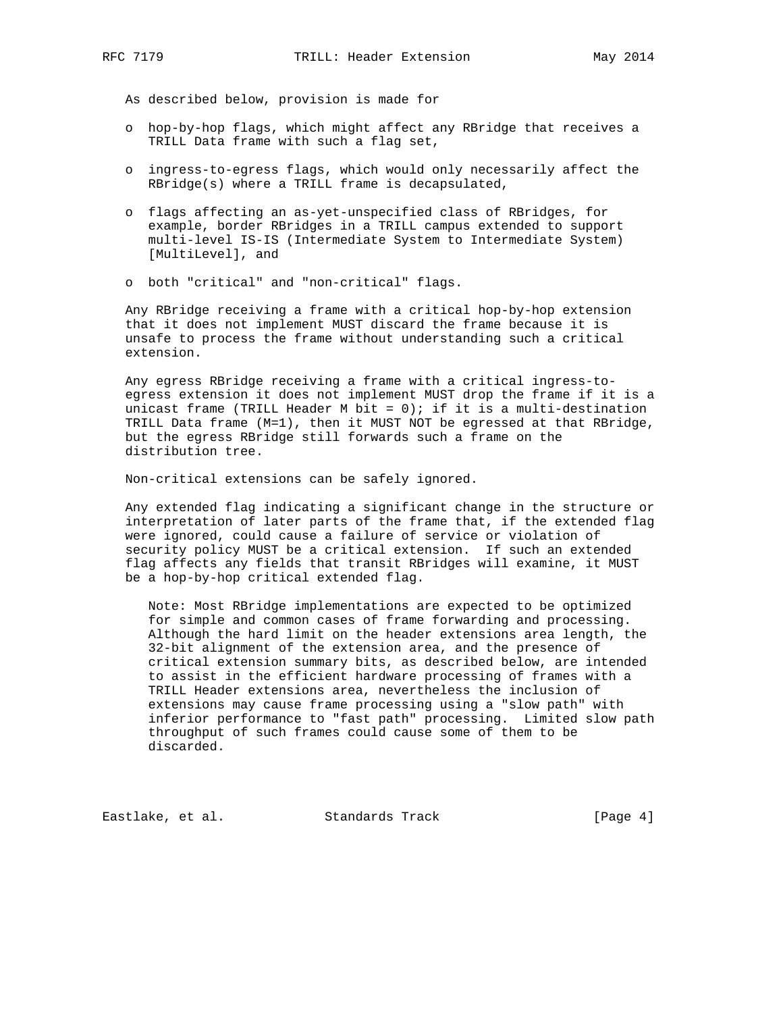As described below, provision is made for

- o hop-by-hop flags, which might affect any RBridge that receives a TRILL Data frame with such a flag set,
- o ingress-to-egress flags, which would only necessarily affect the RBridge(s) where a TRILL frame is decapsulated,
- o flags affecting an as-yet-unspecified class of RBridges, for example, border RBridges in a TRILL campus extended to support multi-level IS-IS (Intermediate System to Intermediate System) [MultiLevel], and
- o both "critical" and "non-critical" flags.

 Any RBridge receiving a frame with a critical hop-by-hop extension that it does not implement MUST discard the frame because it is unsafe to process the frame without understanding such a critical extension.

 Any egress RBridge receiving a frame with a critical ingress-to egress extension it does not implement MUST drop the frame if it is a unicast frame (TRILL Header M bit =  $0$ ); if it is a multi-destination TRILL Data frame (M=1), then it MUST NOT be egressed at that RBridge, but the egress RBridge still forwards such a frame on the distribution tree.

Non-critical extensions can be safely ignored.

 Any extended flag indicating a significant change in the structure or interpretation of later parts of the frame that, if the extended flag were ignored, could cause a failure of service or violation of security policy MUST be a critical extension. If such an extended flag affects any fields that transit RBridges will examine, it MUST be a hop-by-hop critical extended flag.

 Note: Most RBridge implementations are expected to be optimized for simple and common cases of frame forwarding and processing. Although the hard limit on the header extensions area length, the 32-bit alignment of the extension area, and the presence of critical extension summary bits, as described below, are intended to assist in the efficient hardware processing of frames with a TRILL Header extensions area, nevertheless the inclusion of extensions may cause frame processing using a "slow path" with inferior performance to "fast path" processing. Limited slow path throughput of such frames could cause some of them to be discarded.

Eastlake, et al. Standards Track [Page 4]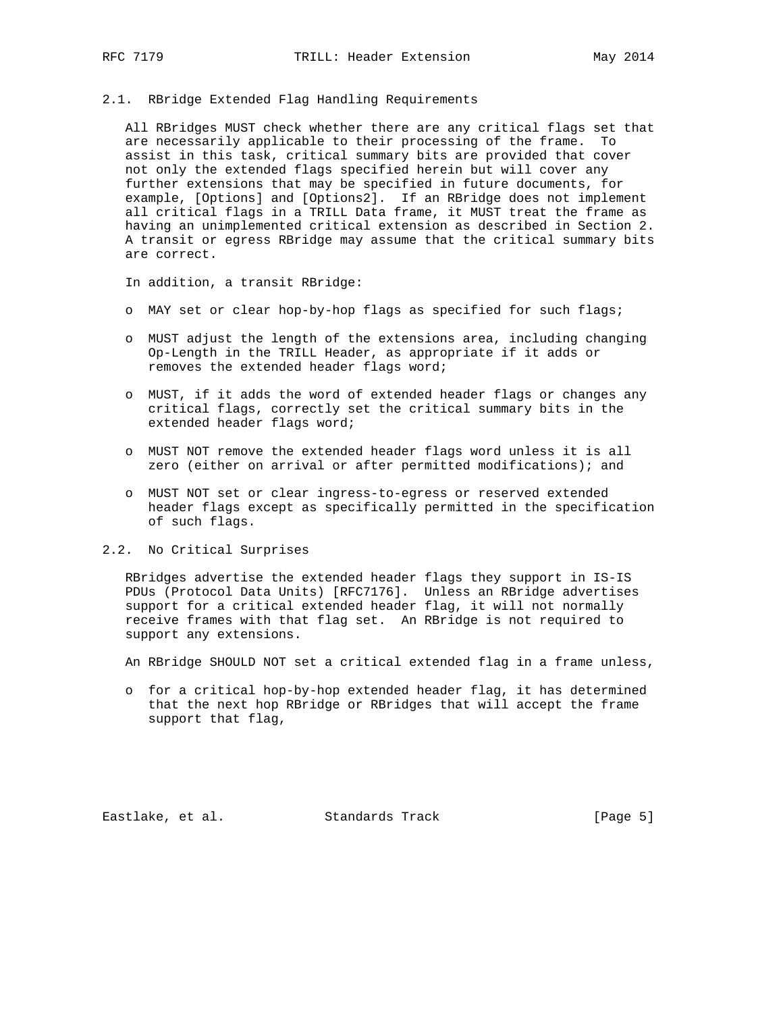#### 2.1. RBridge Extended Flag Handling Requirements

 All RBridges MUST check whether there are any critical flags set that are necessarily applicable to their processing of the frame. To assist in this task, critical summary bits are provided that cover not only the extended flags specified herein but will cover any further extensions that may be specified in future documents, for example, [Options] and [Options2]. If an RBridge does not implement all critical flags in a TRILL Data frame, it MUST treat the frame as having an unimplemented critical extension as described in Section 2. A transit or egress RBridge may assume that the critical summary bits are correct.

In addition, a transit RBridge:

- o MAY set or clear hop-by-hop flags as specified for such flags;
- o MUST adjust the length of the extensions area, including changing Op-Length in the TRILL Header, as appropriate if it adds or removes the extended header flags word;
- o MUST, if it adds the word of extended header flags or changes any critical flags, correctly set the critical summary bits in the extended header flags word;
- o MUST NOT remove the extended header flags word unless it is all zero (either on arrival or after permitted modifications); and
- o MUST NOT set or clear ingress-to-egress or reserved extended header flags except as specifically permitted in the specification of such flags.
- 2.2. No Critical Surprises

 RBridges advertise the extended header flags they support in IS-IS PDUs (Protocol Data Units) [RFC7176]. Unless an RBridge advertises support for a critical extended header flag, it will not normally receive frames with that flag set. An RBridge is not required to support any extensions.

An RBridge SHOULD NOT set a critical extended flag in a frame unless,

 o for a critical hop-by-hop extended header flag, it has determined that the next hop RBridge or RBridges that will accept the frame support that flag,

Eastlake, et al. Standards Track [Page 5]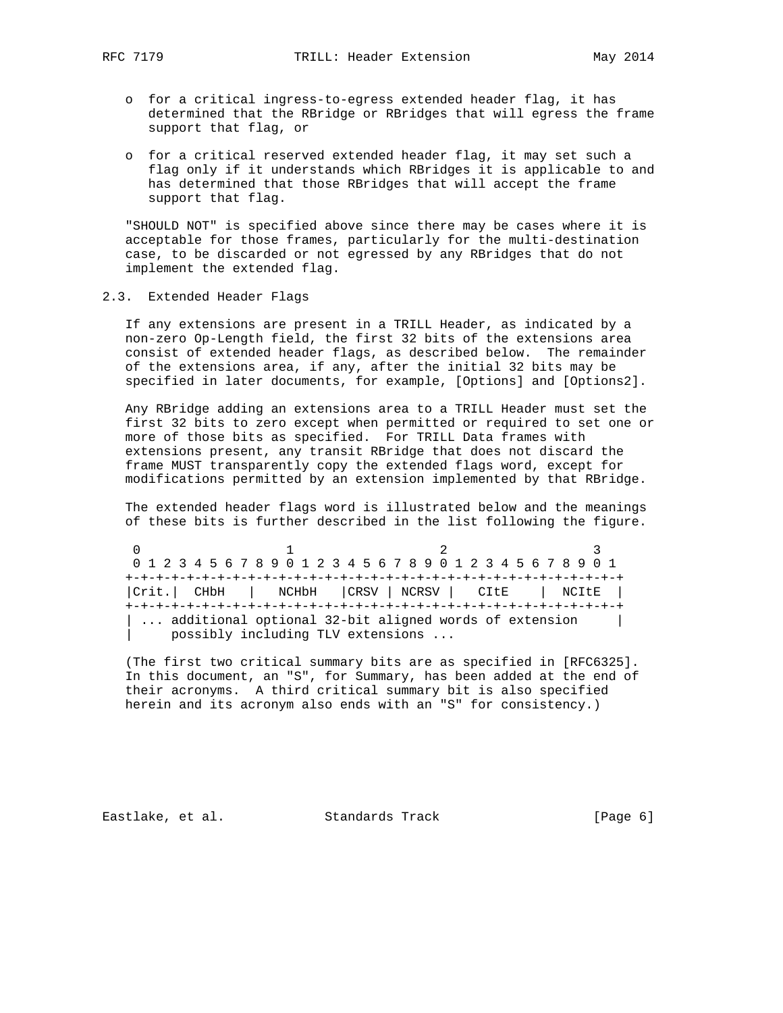- o for a critical ingress-to-egress extended header flag, it has determined that the RBridge or RBridges that will egress the frame support that flag, or
- o for a critical reserved extended header flag, it may set such a flag only if it understands which RBridges it is applicable to and has determined that those RBridges that will accept the frame support that flag.

 "SHOULD NOT" is specified above since there may be cases where it is acceptable for those frames, particularly for the multi-destination case, to be discarded or not egressed by any RBridges that do not implement the extended flag.

### 2.3. Extended Header Flags

 If any extensions are present in a TRILL Header, as indicated by a non-zero Op-Length field, the first 32 bits of the extensions area consist of extended header flags, as described below. The remainder of the extensions area, if any, after the initial 32 bits may be specified in later documents, for example, [Options] and [Options2].

 Any RBridge adding an extensions area to a TRILL Header must set the first 32 bits to zero except when permitted or required to set one or more of those bits as specified. For TRILL Data frames with extensions present, any transit RBridge that does not discard the frame MUST transparently copy the extended flags word, except for modifications permitted by an extension implemented by that RBridge.

 The extended header flags word is illustrated below and the meanings of these bits is further described in the list following the figure.

0  $1$  2 3 0 1 2 3 4 5 6 7 8 9 0 1 2 3 4 5 6 7 8 9 0 1 2 3 4 5 6 7 8 9 0 1 +-+-+-+-+-+-+-+-+-+-+-+-+-+-+-+-+-+-+-+-+-+-+-+-+-+-+-+-+-+-+-+-+ |Crit.| CHbH | NCHbH |CRSV | NCRSV | CItE | NCItE | +-+-+-+-+-+-+-+-+-+-+-+-+-+-+-+-+-+-+-+-+-+-+-+-+-+-+-+-+-+-+-+-+ | ... additional optional 32-bit aligned words of extension | | possibly including TLV extensions ...

 (The first two critical summary bits are as specified in [RFC6325]. In this document, an "S", for Summary, has been added at the end of their acronyms. A third critical summary bit is also specified herein and its acronym also ends with an "S" for consistency.)

Eastlake, et al. Standards Track [Page 6]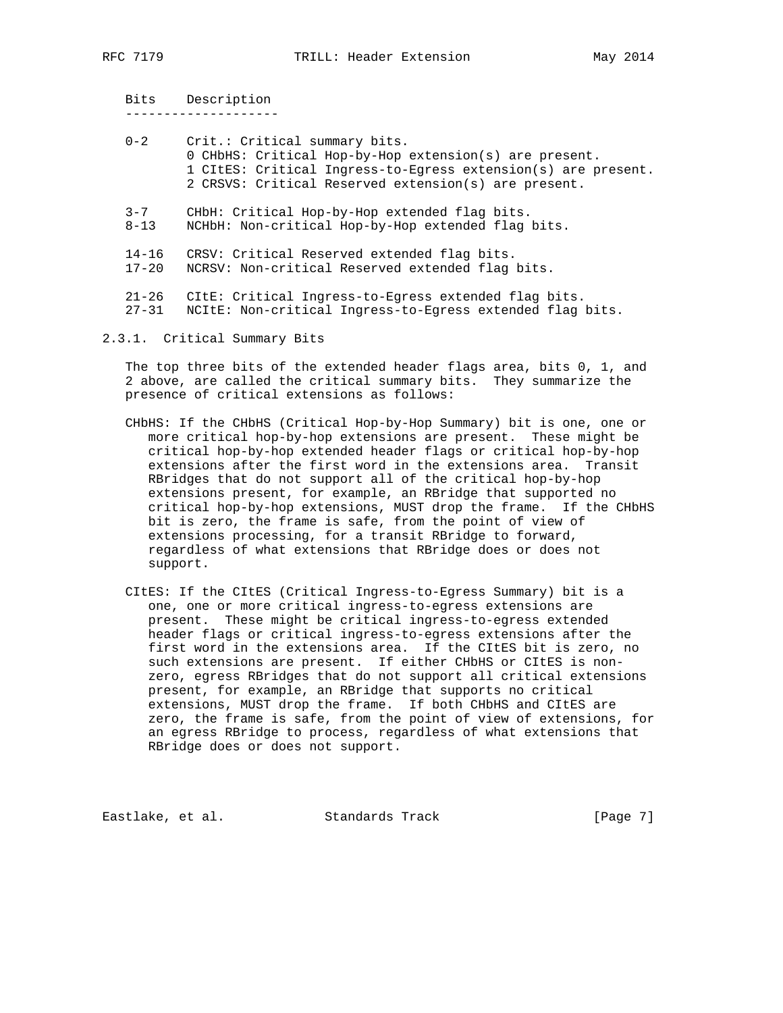Bits Description --------------------

 0-2 Crit.: Critical summary bits. 0 CHbHS: Critical Hop-by-Hop extension(s) are present. 1 CItES: Critical Ingress-to-Egress extension(s) are present. 2 CRSVS: Critical Reserved extension(s) are present. 3-7 CHbH: Critical Hop-by-Hop extended flag bits. 8-13 NCHbH: Non-critical Hop-by-Hop extended flag bits. 14-16 CRSV: Critical Reserved extended flag bits. 17-20 NCRSV: Non-critical Reserved extended flag bits. 21-26 CItE: Critical Ingress-to-Egress extended flag bits. 27-31 NCItE: Non-critical Ingress-to-Egress extended flag bits.

2.3.1. Critical Summary Bits

 The top three bits of the extended header flags area, bits 0, 1, and 2 above, are called the critical summary bits. They summarize the presence of critical extensions as follows:

- CHbHS: If the CHbHS (Critical Hop-by-Hop Summary) bit is one, one or more critical hop-by-hop extensions are present. These might be critical hop-by-hop extended header flags or critical hop-by-hop extensions after the first word in the extensions area. Transit RBridges that do not support all of the critical hop-by-hop extensions present, for example, an RBridge that supported no critical hop-by-hop extensions, MUST drop the frame. If the CHbHS bit is zero, the frame is safe, from the point of view of extensions processing, for a transit RBridge to forward, regardless of what extensions that RBridge does or does not support.
- CItES: If the CItES (Critical Ingress-to-Egress Summary) bit is a one, one or more critical ingress-to-egress extensions are present. These might be critical ingress-to-egress extended header flags or critical ingress-to-egress extensions after the first word in the extensions area. If the CItES bit is zero, no such extensions are present. If either CHbHS or CItES is non zero, egress RBridges that do not support all critical extensions present, for example, an RBridge that supports no critical extensions, MUST drop the frame. If both CHbHS and CItES are zero, the frame is safe, from the point of view of extensions, for an egress RBridge to process, regardless of what extensions that RBridge does or does not support.

Eastlake, et al. Standards Track [Page 7]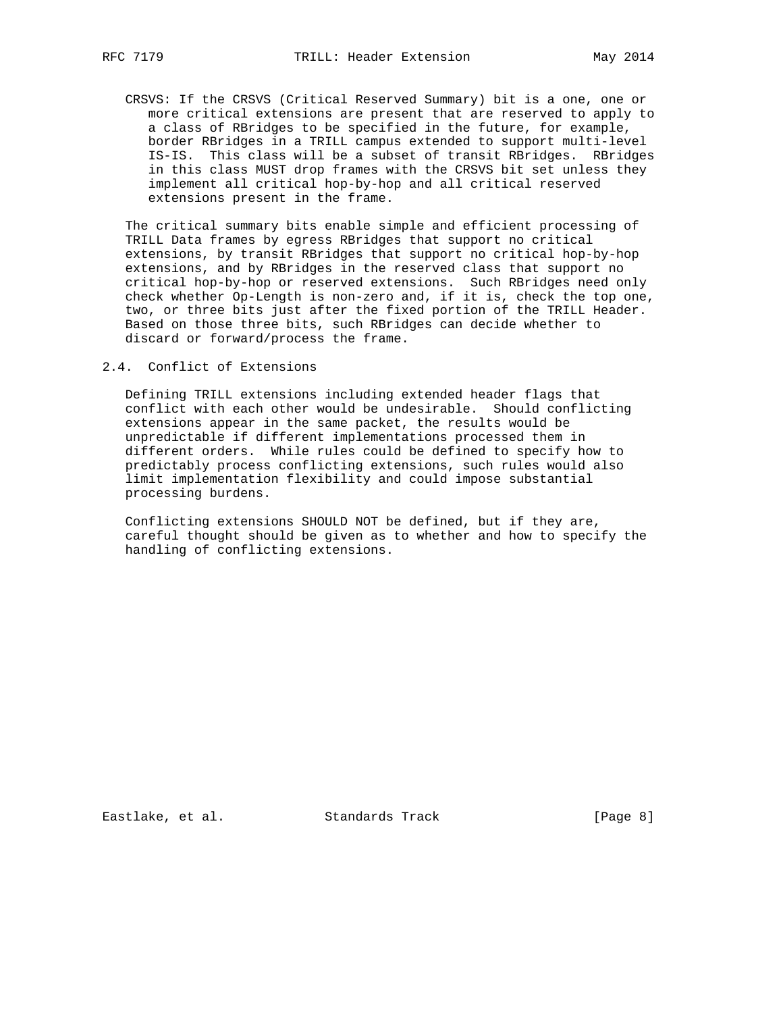CRSVS: If the CRSVS (Critical Reserved Summary) bit is a one, one or more critical extensions are present that are reserved to apply to a class of RBridges to be specified in the future, for example, border RBridges in a TRILL campus extended to support multi-level IS-IS. This class will be a subset of transit RBridges. RBridges in this class MUST drop frames with the CRSVS bit set unless they implement all critical hop-by-hop and all critical reserved extensions present in the frame.

 The critical summary bits enable simple and efficient processing of TRILL Data frames by egress RBridges that support no critical extensions, by transit RBridges that support no critical hop-by-hop extensions, and by RBridges in the reserved class that support no critical hop-by-hop or reserved extensions. Such RBridges need only check whether Op-Length is non-zero and, if it is, check the top one, two, or three bits just after the fixed portion of the TRILL Header. Based on those three bits, such RBridges can decide whether to discard or forward/process the frame.

2.4. Conflict of Extensions

 Defining TRILL extensions including extended header flags that conflict with each other would be undesirable. Should conflicting extensions appear in the same packet, the results would be unpredictable if different implementations processed them in different orders. While rules could be defined to specify how to predictably process conflicting extensions, such rules would also limit implementation flexibility and could impose substantial processing burdens.

 Conflicting extensions SHOULD NOT be defined, but if they are, careful thought should be given as to whether and how to specify the handling of conflicting extensions.

Eastlake, et al. Standards Track [Page 8]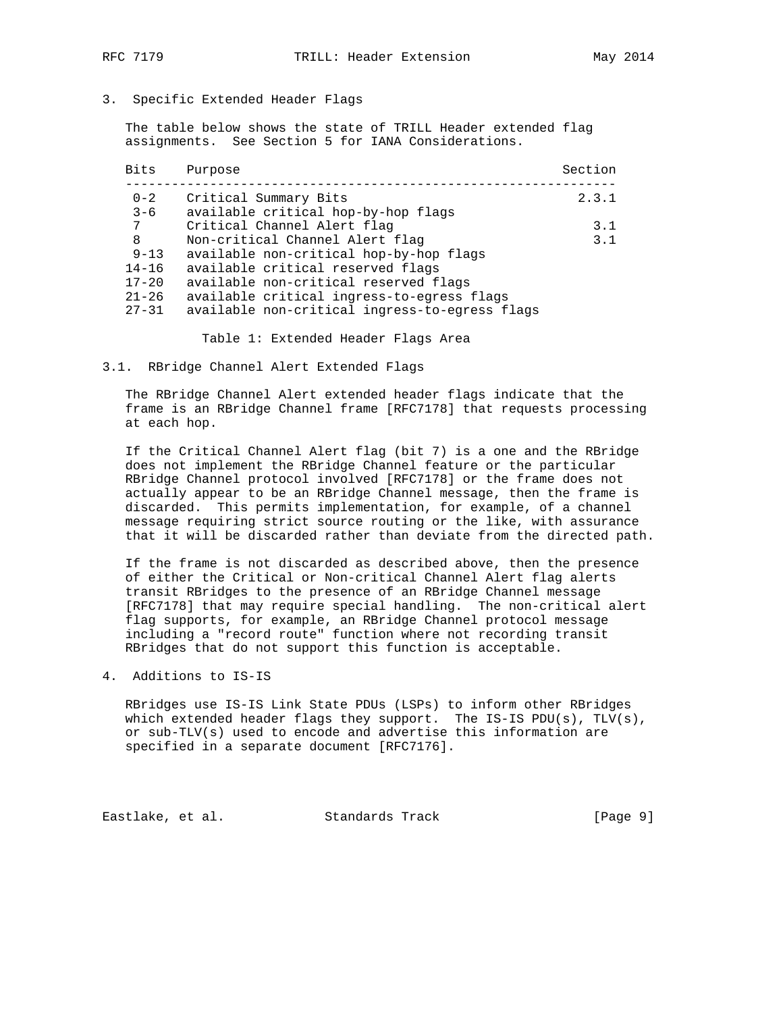3. Specific Extended Header Flags

 The table below shows the state of TRILL Header extended flag assignments. See Section 5 for IANA Considerations.

| <b>Bits</b> | Purpose                                        | Section |
|-------------|------------------------------------------------|---------|
| $0 - 2$     | Critical Summary Bits                          | 2.3.1   |
| $3 - 6$     | available critical hop-by-hop flags            |         |
| 7           | Critical Channel Alert flag                    | 3.1     |
| 8           | Non-critical Channel Alert flag                | 3.1     |
| $9 - 13$    | available non-critical hop-by-hop flags        |         |
| $14 - 16$   | available critical reserved flags              |         |
| $17 - 20$   | available non-critical reserved flags          |         |
| $21 - 26$   | available critical ingress-to-egress flags     |         |
| $27 - 31$   | available non-critical ingress-to-egress flags |         |
|             |                                                |         |

Table 1: Extended Header Flags Area

3.1. RBridge Channel Alert Extended Flags

 The RBridge Channel Alert extended header flags indicate that the frame is an RBridge Channel frame [RFC7178] that requests processing at each hop.

 If the Critical Channel Alert flag (bit 7) is a one and the RBridge does not implement the RBridge Channel feature or the particular RBridge Channel protocol involved [RFC7178] or the frame does not actually appear to be an RBridge Channel message, then the frame is discarded. This permits implementation, for example, of a channel message requiring strict source routing or the like, with assurance that it will be discarded rather than deviate from the directed path.

 If the frame is not discarded as described above, then the presence of either the Critical or Non-critical Channel Alert flag alerts transit RBridges to the presence of an RBridge Channel message [RFC7178] that may require special handling. The non-critical alert flag supports, for example, an RBridge Channel protocol message including a "record route" function where not recording transit RBridges that do not support this function is acceptable.

4. Additions to IS-IS

 RBridges use IS-IS Link State PDUs (LSPs) to inform other RBridges which extended header flags they support. The IS-IS PDU(s), TLV(s), or sub-TLV(s) used to encode and advertise this information are specified in a separate document [RFC7176].

Eastlake, et al. Standards Track [Page 9]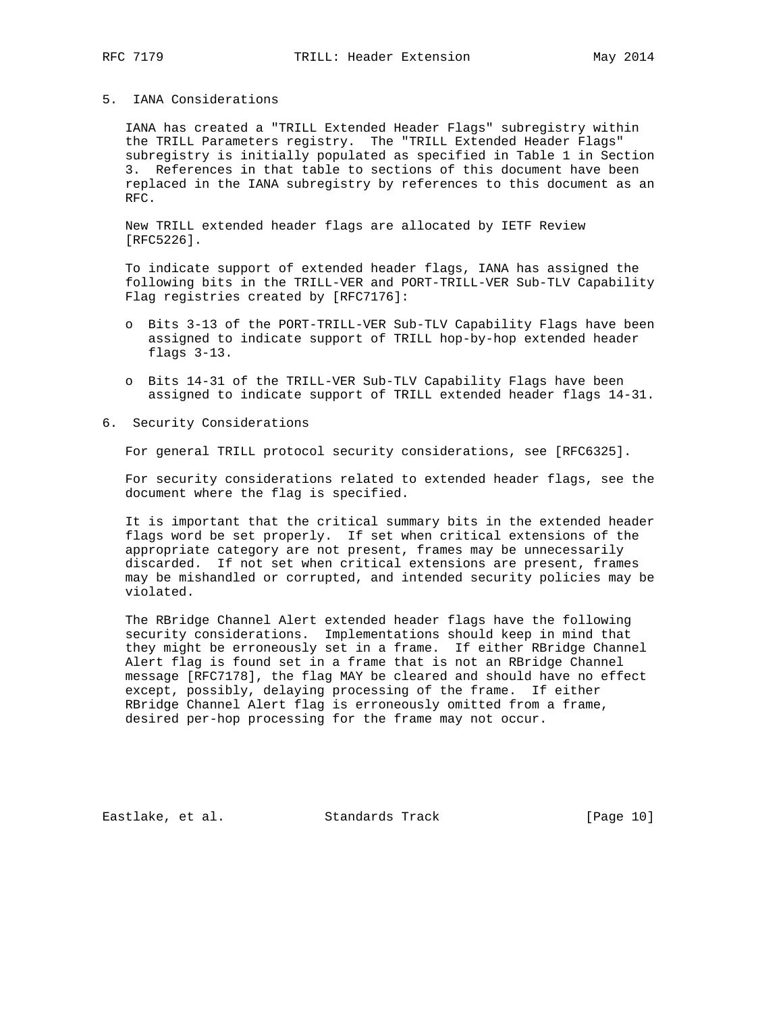#### 5. IANA Considerations

 IANA has created a "TRILL Extended Header Flags" subregistry within the TRILL Parameters registry. The "TRILL Extended Header Flags" subregistry is initially populated as specified in Table 1 in Section 3. References in that table to sections of this document have been replaced in the IANA subregistry by references to this document as an RFC.

 New TRILL extended header flags are allocated by IETF Review [RFC5226].

 To indicate support of extended header flags, IANA has assigned the following bits in the TRILL-VER and PORT-TRILL-VER Sub-TLV Capability Flag registries created by [RFC7176]:

- o Bits 3-13 of the PORT-TRILL-VER Sub-TLV Capability Flags have been assigned to indicate support of TRILL hop-by-hop extended header flags 3-13.
- o Bits 14-31 of the TRILL-VER Sub-TLV Capability Flags have been assigned to indicate support of TRILL extended header flags 14-31.
- 6. Security Considerations

For general TRILL protocol security considerations, see [RFC6325].

 For security considerations related to extended header flags, see the document where the flag is specified.

 It is important that the critical summary bits in the extended header flags word be set properly. If set when critical extensions of the appropriate category are not present, frames may be unnecessarily discarded. If not set when critical extensions are present, frames may be mishandled or corrupted, and intended security policies may be violated.

 The RBridge Channel Alert extended header flags have the following security considerations. Implementations should keep in mind that they might be erroneously set in a frame. If either RBridge Channel Alert flag is found set in a frame that is not an RBridge Channel message [RFC7178], the flag MAY be cleared and should have no effect except, possibly, delaying processing of the frame. If either RBridge Channel Alert flag is erroneously omitted from a frame, desired per-hop processing for the frame may not occur.

Eastlake, et al. Standards Track [Page 10]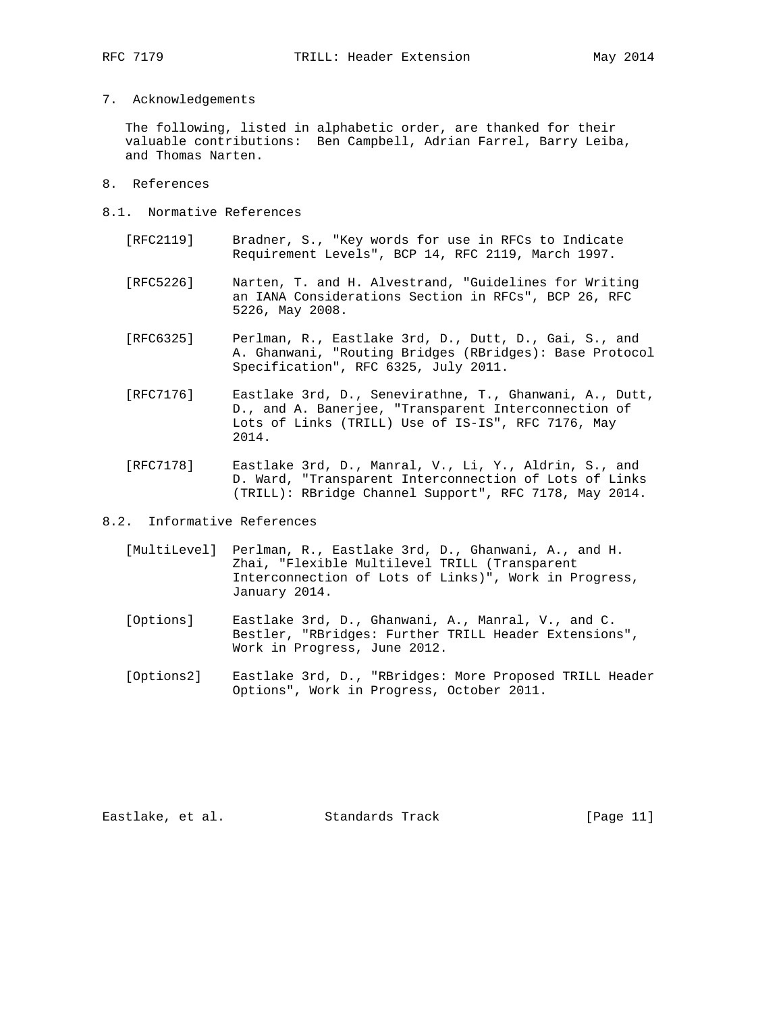7. Acknowledgements

 The following, listed in alphabetic order, are thanked for their valuable contributions: Ben Campbell, Adrian Farrel, Barry Leiba, and Thomas Narten.

- 8. References
- 8.1. Normative References
	- [RFC2119] Bradner, S., "Key words for use in RFCs to Indicate Requirement Levels", BCP 14, RFC 2119, March 1997.
	- [RFC5226] Narten, T. and H. Alvestrand, "Guidelines for Writing an IANA Considerations Section in RFCs", BCP 26, RFC 5226, May 2008.
	- [RFC6325] Perlman, R., Eastlake 3rd, D., Dutt, D., Gai, S., and A. Ghanwani, "Routing Bridges (RBridges): Base Protocol Specification", RFC 6325, July 2011.
	- [RFC7176] Eastlake 3rd, D., Senevirathne, T., Ghanwani, A., Dutt, D., and A. Banerjee, "Transparent Interconnection of Lots of Links (TRILL) Use of IS-IS", RFC 7176, May 2014.
	- [RFC7178] Eastlake 3rd, D., Manral, V., Li, Y., Aldrin, S., and D. Ward, "Transparent Interconnection of Lots of Links (TRILL): RBridge Channel Support", RFC 7178, May 2014.

8.2. Informative References

- [MultiLevel] Perlman, R., Eastlake 3rd, D., Ghanwani, A., and H. Zhai, "Flexible Multilevel TRILL (Transparent Interconnection of Lots of Links)", Work in Progress, January 2014.
- [Options] Eastlake 3rd, D., Ghanwani, A., Manral, V., and C. Bestler, "RBridges: Further TRILL Header Extensions", Work in Progress, June 2012.
- [Options2] Eastlake 3rd, D., "RBridges: More Proposed TRILL Header Options", Work in Progress, October 2011.

Eastlake, et al. Standards Track [Page 11]